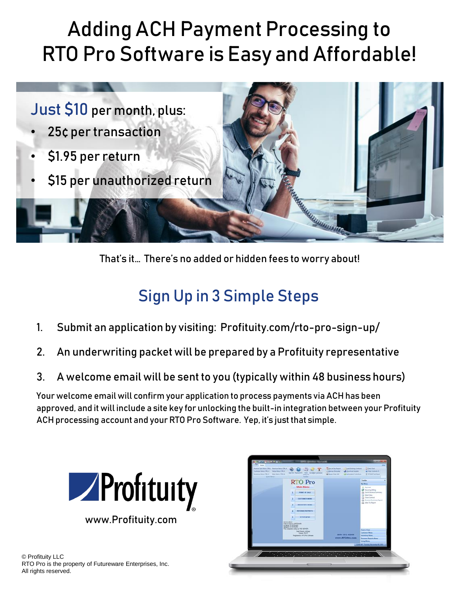# Adding ACH Payment Processing to RTO Pro Software is Easy and Affordable!



That's it… There's no added or hidden fees to worry about!

## Sign Up in 3 Simple Steps

- 1. Submit an application by visiting: Profituity.com/rto-pro-sign-up/
- 2. An underwriting packet will be prepared by a Profituity representative
- 3. A welcome email will be sent to you (typically within 48 business hours)

Your welcome email will confirm your application to process payments via ACH has been approved, and it will include a site key for unlocking the built-in integration between your Profituity ACH processing account and your RTO Pro Software. Yep, it's just that simple.